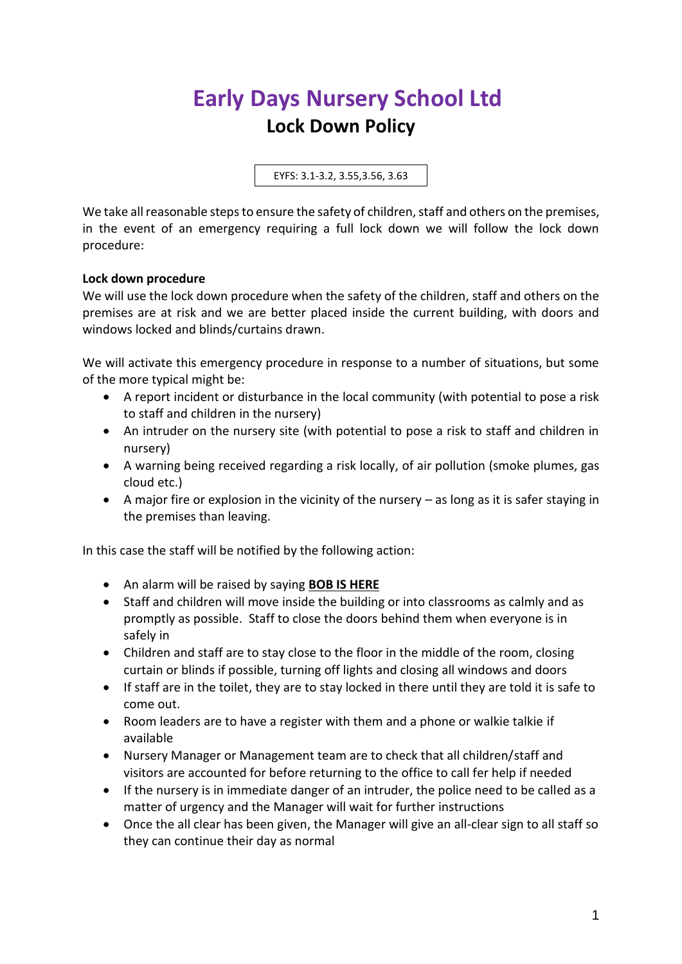## **Early Days Nursery School Ltd Lock Down Policy**

EYFS: 3.1-3.2, 3.55,3.56, 3.63

We take all reasonable steps to ensure the safety of children, staff and others on the premises, in the event of an emergency requiring a full lock down we will follow the lock down procedure:

## **Lock down procedure**

We will use the lock down procedure when the safety of the children, staff and others on the premises are at risk and we are better placed inside the current building, with doors and windows locked and blinds/curtains drawn.

We will activate this emergency procedure in response to a number of situations, but some of the more typical might be:

- A report incident or disturbance in the local community (with potential to pose a risk to staff and children in the nursery)
- An intruder on the nursery site (with potential to pose a risk to staff and children in nursery)
- A warning being received regarding a risk locally, of air pollution (smoke plumes, gas cloud etc.)
- A major fire or explosion in the vicinity of the nursery as long as it is safer staying in the premises than leaving.

In this case the staff will be notified by the following action:

- An alarm will be raised by saying **BOB IS HERE**
- Staff and children will move inside the building or into classrooms as calmly and as promptly as possible. Staff to close the doors behind them when everyone is in safely in
- Children and staff are to stay close to the floor in the middle of the room, closing curtain or blinds if possible, turning off lights and closing all windows and doors
- If staff are in the toilet, they are to stay locked in there until they are told it is safe to come out.
- Room leaders are to have a register with them and a phone or walkie talkie if available
- Nursery Manager or Management team are to check that all children/staff and visitors are accounted for before returning to the office to call fer help if needed
- If the nursery is in immediate danger of an intruder, the police need to be called as a matter of urgency and the Manager will wait for further instructions
- Once the all clear has been given, the Manager will give an all-clear sign to all staff so they can continue their day as normal